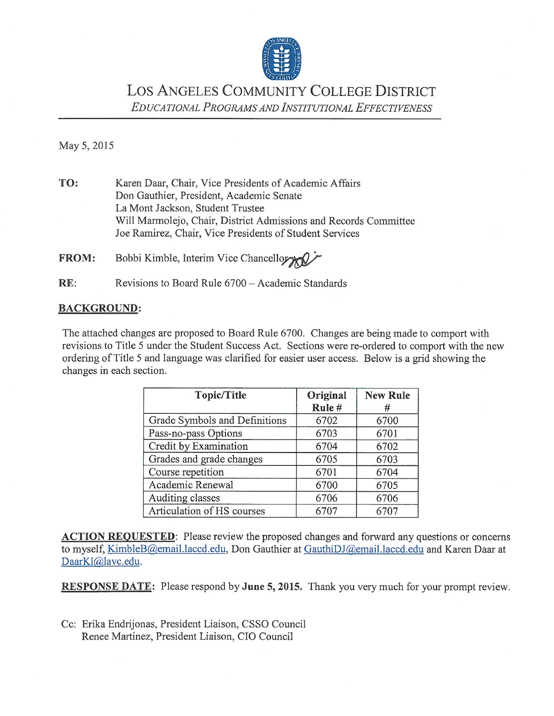

LOS ANGELES COMMUNITY COLLEGE DISTRICT EDUCATIONAL PROGRAMS AND INSTITUTIONAL EFFECTIVENESS

May 5, 2015

TO: Karen Daar, Chair, Vice Presidents of Academic Affairs Don Gauthier, President, Academic Senate La Mont Jackson, Student Trustee Will Marmolejo, Chair, District Admissions and Records Committee Joe Ramirez, Chair, Vice Presidents of Student Services

**FROM:** Bobbi Kimble, Interim Vice Chancellor

 $RE:$ Revisions to Board Rule 6700 - Academic Standards

#### **BACKGROUND:**

The attached changes are proposed to Board Rule 6700. Changes are being made to comport with revisions to Title 5 under the Student Success Act. Sections were re-ordered to comport with the new ordering of Title 5 and language was clarified for easier user access. Below is a grid showing the changes in each section.

| <b>Topic/Title</b>            | Original<br>Rule# | <b>New Rule</b><br># |
|-------------------------------|-------------------|----------------------|
| Grade Symbols and Definitions | 6702              | 6700                 |
| Pass-no-pass Options          | 6703              | 6701                 |
| Credit by Examination         | 6704              | 6702                 |
| Grades and grade changes      | 6705              | 6703                 |
| Course repetition             | 6701              | 6704                 |
| Academic Renewal              | 6700              | 6705                 |
| Auditing classes              | 6706              | 6706                 |
| Articulation of HS courses    | 6707              | 6707                 |

**ACTION REQUESTED:** Please review the proposed changes and forward any questions or concerns to myself, KimbleB@email.laccd.edu, Don Gauthier at GauthiDJ@email.laccd.edu and Karen Daar at DaarKl@lavc.edu.

**RESPONSE DATE:** Please respond by June 5, 2015. Thank you very much for your prompt review.

Cc: Erika Endrijonas, President Liaison, CSSO Council Renee Martinez, President Liaison, CIO Council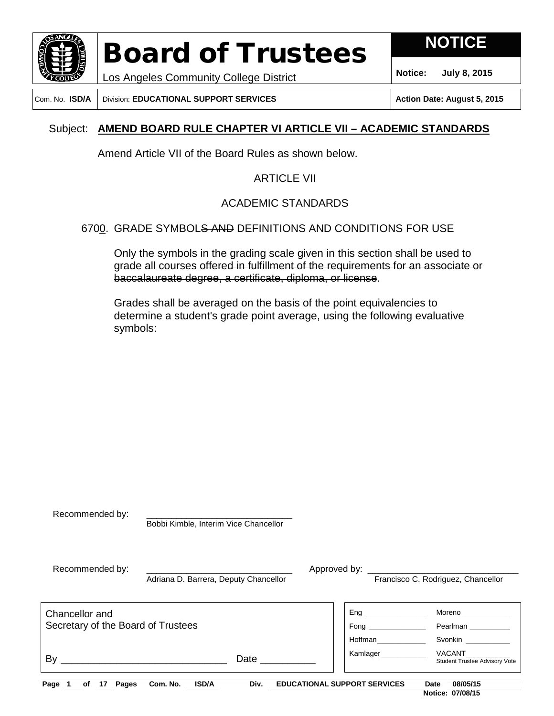

**NOTICE**

**Notice: July 8, 2015**

Los Angeles Community College District Com. No. **ISD/A** Division: **EDUCATIONAL SUPPORT SERVICES Action Date: August 5, 2015**

### Subject: **AMEND BOARD RULE CHAPTER VI ARTICLE VII – ACADEMIC STANDARDS**

Amend Article VII of the Board Rules as shown below.

### ARTICLE VII

### ACADEMIC STANDARDS

### 6700. GRADE SYMBOLS AND DEFINITIONS AND CONDITIONS FOR USE

Only the symbols in the grading scale given in this section shall be used to grade all courses offered in fulfillment of the requirements for an associate or baccalaureate degree, a certificate, diploma, or license.

Grades shall be averaged on the basis of the point equivalencies to determine a student's grade point average, using the following evaluative symbols:

| Recommended by:                                      | Bobbi Kimble, Interim Vice Chancellor |                                     |                                                 |                                                                                                                                                                                                                                                                          |
|------------------------------------------------------|---------------------------------------|-------------------------------------|-------------------------------------------------|--------------------------------------------------------------------------------------------------------------------------------------------------------------------------------------------------------------------------------------------------------------------------|
| Recommended by:                                      | Adriana D. Barrera, Deputy Chancellor |                                     | Francisco C. Rodriguez, Chancellor              |                                                                                                                                                                                                                                                                          |
| Chancellor and<br>Secretary of the Board of Trustees |                                       |                                     | Eng<br>Hoffman <b>contract the manufacturer</b> | Moreno _______________<br>Pearlman<br><b>Svonkin Sylvential Sylvential Sylvential Sylvential Sylvential Sylvential Sylvential Sylvential Sylvential Sylvential Sylvential Sylvential Sylvential Sylvential Sylvential Sylvential Sylvential Sylvential Sylvential Sy</b> |
| By                                                   | Date                                  |                                     | Kamlager                                        | <b>VACANT</b><br>Student Trustee Advisory Vote                                                                                                                                                                                                                           |
| Page<br>Pages<br>оf<br>17                            | <b>ISD/A</b><br>Com. No.<br>Div.      | <b>EDUCATIONAL SUPPORT SERVICES</b> | Date                                            | 08/05/15<br>Notice: 07/08/15                                                                                                                                                                                                                                             |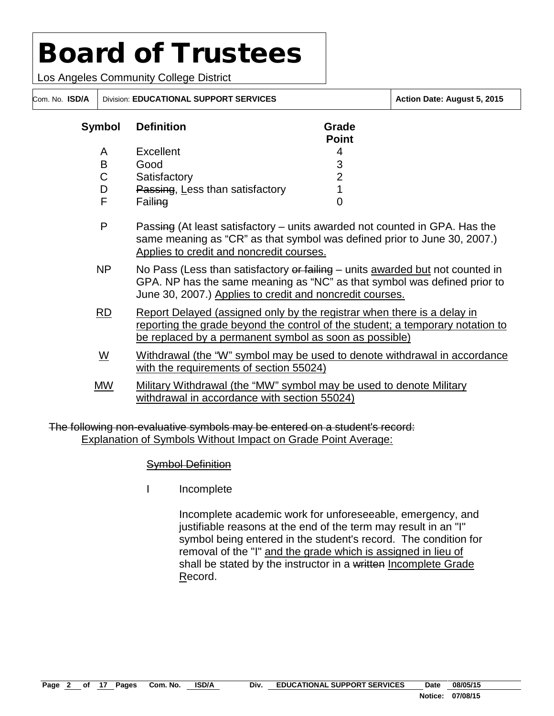Los Angeles Community College District

| Symbol | <b>Definition</b>               | Grade<br><b>Point</b> |
|--------|---------------------------------|-----------------------|
| A      | Excellent                       |                       |
| в      | Good                            | 3                     |
| С      | Satisfactory                    | 2                     |
|        | Passing, Less than satisfactory |                       |
|        | Failing                         |                       |

P Passing (At least satisfactory – units awarded not counted in GPA. Has the same meaning as "CR" as that symbol was defined prior to June 30, 2007.) Applies to credit and noncredit courses.

Com. No. **ISD/A** Division: **EDUCATIONAL SUPPORT SERVICES Action Date: August 5, 2015**

- NP No Pass (Less than satisfactory or failing units awarded but not counted in GPA. NP has the same meaning as "NC" as that symbol was defined prior to June 30, 2007.) Applies to credit and noncredit courses.
- RD Report Delayed (assigned only by the registrar when there is a delay in reporting the grade beyond the control of the student; a temporary notation to be replaced by a permanent symbol as soon as possible)
- W Withdrawal (the "W" symbol may be used to denote withdrawal in accordance with the requirements of section 55024)
- MW Military Withdrawal (the "MW" symbol may be used to denote Military withdrawal in accordance with section 55024)

The following non-evaluative symbols may be entered on a student's record: Explanation of Symbols Without Impact on Grade Point Average:

### Symbol Definition

I Incomplete

Incomplete academic work for unforeseeable, emergency, and justifiable reasons at the end of the term may result in an "I" symbol being entered in the student's record. The condition for removal of the "I" and the grade which is assigned in lieu of shall be stated by the instructor in a written Incomplete Grade Record.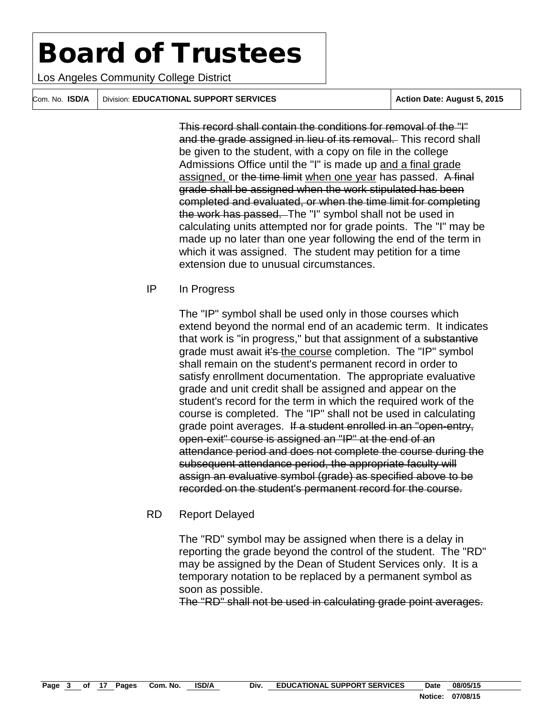Los Angeles Community College District

Com. No. **ISD/A** Division: **EDUCATIONAL SUPPORT SERVICES Action Date: August 5, 2015** 

This record shall contain the conditions for removal of the "I" and the grade assigned in lieu of its removal. This record shall be given to the student, with a copy on file in the college Admissions Office until the "I" is made up and a final grade assigned, or the time limit when one year has passed. A final grade shall be assigned when the work stipulated has been completed and evaluated, or when the time limit for completing the work has passed. The "I" symbol shall not be used in calculating units attempted nor for grade points. The "I" may be made up no later than one year following the end of the term in which it was assigned. The student may petition for a time extension due to unusual circumstances.

#### IP In Progress

The "IP" symbol shall be used only in those courses which extend beyond the normal end of an academic term. It indicates that work is "in progress," but that assignment of a substantive grade must await it's the course completion. The "IP" symbol shall remain on the student's permanent record in order to satisfy enrollment documentation. The appropriate evaluative grade and unit credit shall be assigned and appear on the student's record for the term in which the required work of the course is completed. The "IP" shall not be used in calculating grade point averages. If a student enrolled in an "open-entry, open-exit" course is assigned an "IP" at the end of an attendance period and does not complete the course during the subsequent attendance period, the appropriate faculty will assign an evaluative symbol (grade) as specified above to be recorded on the student's permanent record for the course.

#### RD Report Delayed

The "RD" symbol may be assigned when there is a delay in reporting the grade beyond the control of the student. The "RD" may be assigned by the Dean of Student Services only. It is a temporary notation to be replaced by a permanent symbol as soon as possible.

The "RD" shall not be used in calculating grade point averages.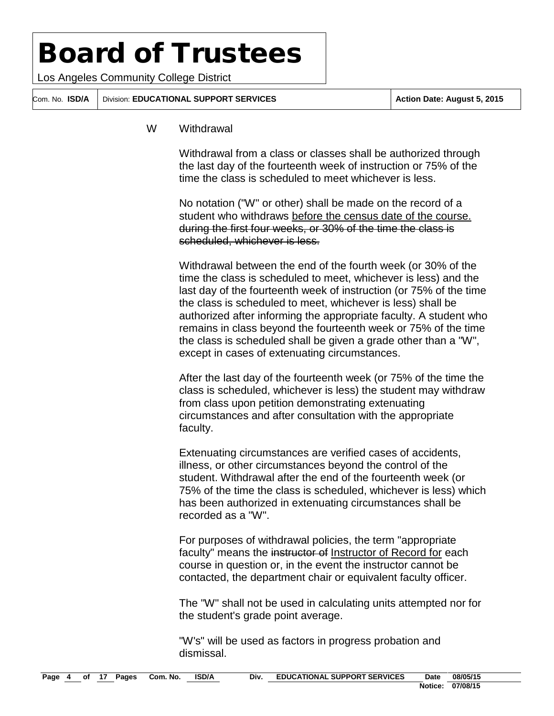Los Angeles Community College District

Com. No. **ISD/A** Division: **EDUCATIONAL SUPPORT SERVICES Action Date: August 5, 2015**

#### W Withdrawal

Withdrawal from a class or classes shall be authorized through the last day of the fourteenth week of instruction or 75% of the time the class is scheduled to meet whichever is less.

No notation ("W" or other) shall be made on the record of a student who withdraws before the census date of the course. during the first four weeks, or 30% of the time the class is scheduled, whichever is less.

Withdrawal between the end of the fourth week (or 30% of the time the class is scheduled to meet, whichever is less) and the last day of the fourteenth week of instruction (or 75% of the time the class is scheduled to meet, whichever is less) shall be authorized after informing the appropriate faculty. A student who remains in class beyond the fourteenth week or 75% of the time the class is scheduled shall be given a grade other than a "W", except in cases of extenuating circumstances.

After the last day of the fourteenth week (or 75% of the time the class is scheduled, whichever is less) the student may withdraw from class upon petition demonstrating extenuating circumstances and after consultation with the appropriate faculty.

Extenuating circumstances are verified cases of accidents, illness, or other circumstances beyond the control of the student. Withdrawal after the end of the fourteenth week (or 75% of the time the class is scheduled, whichever is less) which has been authorized in extenuating circumstances shall be recorded as a "W".

For purposes of withdrawal policies, the term "appropriate faculty" means the instructor of Instructor of Record for each course in question or, in the event the instructor cannot be contacted, the department chair or equivalent faculty officer.

The "W" shall not be used in calculating units attempted nor for the student's grade point average.

"W's" will be used as factors in progress probation and dismissal.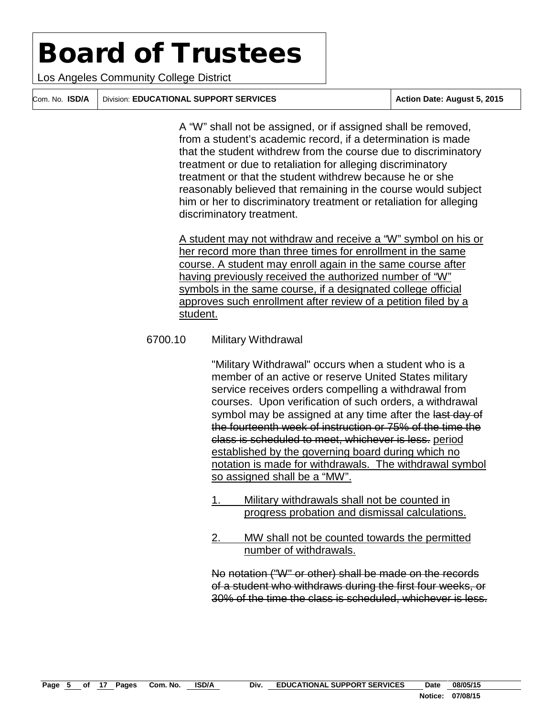Los Angeles Community College District

Com. No. **ISD/A** Division: **EDUCATIONAL SUPPORT SERVICES Action Date: August 5, 2015**

A "W" shall not be assigned, or if assigned shall be removed, from a student's academic record, if a determination is made that the student withdrew from the course due to discriminatory treatment or due to retaliation for alleging discriminatory treatment or that the student withdrew because he or she reasonably believed that remaining in the course would subject him or her to discriminatory treatment or retaliation for alleging discriminatory treatment.

A student may not withdraw and receive a "W" symbol on his or her record more than three times for enrollment in the same course. A student may enroll again in the same course after having previously received the authorized number of "W" symbols in the same course, if a designated college official approves such enrollment after review of a petition filed by a student.

#### 6700.10 Military Withdrawal

"Military Withdrawal" occurs when a student who is a member of an active or reserve United States military service receives orders compelling a withdrawal from courses. Upon verification of such orders, a withdrawal symbol may be assigned at any time after the last day of the fourteenth week of instruction or 75% of the time the class is scheduled to meet, whichever is less. period established by the governing board during which no notation is made for withdrawals. The withdrawal symbol so assigned shall be a "MW".

- 1. Military withdrawals shall not be counted in progress probation and dismissal calculations.
- 2. MW shall not be counted towards the permitted number of withdrawals.

No notation ("W" or other) shall be made on the records of a student who withdraws during the first four weeks, or 30% of the time the class is scheduled, whichever is less.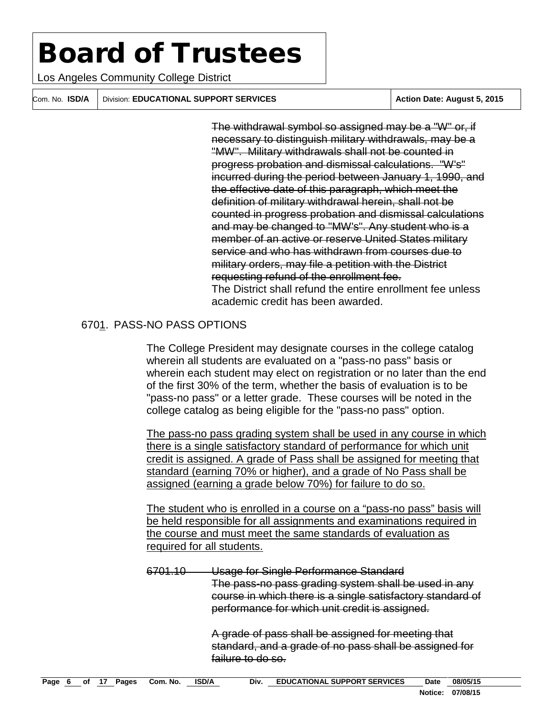Los Angeles Community College District

Com. No. **ISD/A** Division: **EDUCATIONAL SUPPORT SERVICES Action Date: August 5, 2015**

The withdrawal symbol so assigned may be a "W" or, if necessary to distinguish military withdrawals, may be a "MW". Military withdrawals shall not be counted in progress probation and dismissal calculations. "W's" incurred during the period between January 1, 1990, and the effective date of this paragraph, which meet the definition of military withdrawal herein, shall not be counted in progress probation and dismissal calculations and may be changed to "MW's". Any student who is a member of an active or reserve United States military service and who has withdrawn from courses due to military orders, may file a petition with the District requesting refund of the enrollment fee. The District shall refund the entire enrollment fee unless academic credit has been awarded.

### 6701. PASS-NO PASS OPTIONS

The College President may designate courses in the college catalog wherein all students are evaluated on a "pass-no pass" basis or wherein each student may elect on registration or no later than the end of the first 30% of the term, whether the basis of evaluation is to be "pass-no pass" or a letter grade. These courses will be noted in the college catalog as being eligible for the "pass-no pass" option.

The pass-no pass grading system shall be used in any course in which there is a single satisfactory standard of performance for which unit credit is assigned. A grade of Pass shall be assigned for meeting that standard (earning 70% or higher), and a grade of No Pass shall be assigned (earning a grade below 70%) for failure to do so.

The student who is enrolled in a course on a "pass-no pass" basis will be held responsible for all assignments and examinations required in the course and must meet the same standards of evaluation as required for all students.

6701.10 Usage for Single Performance Standard The pass-no pass grading system shall be used in any course in which there is a single satisfactory standard of performance for which unit credit is assigned.

> A grade of pass shall be assigned for meeting that standard, and a grade of no pass shall be assigned for failure to do so.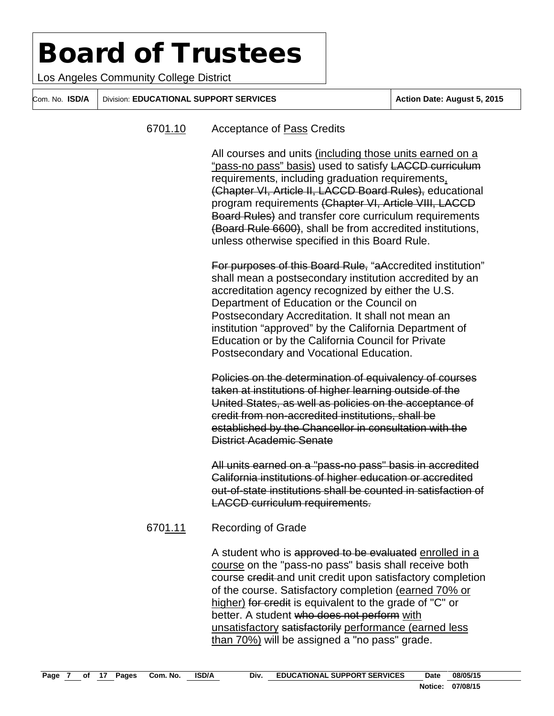Los Angeles Community College District

Com. No. **ISD/A** Division: **EDUCATIONAL SUPPORT SERVICES Action Date: August 5, 2015**

#### 6701.10 Acceptance of Pass Credits

All courses and units (including those units earned on a "pass-no pass" basis) used to satisfy LACCD curriculum requirements, including graduation requirements, (Chapter VI, Article II, LACCD Board Rules), educational program requirements (Chapter VI, Article VIII, LACCD Board Rules) and transfer core curriculum requirements (Board Rule 6600), shall be from accredited institutions, unless otherwise specified in this Board Rule.

For purposes of this Board Rule, "aAccredited institution" shall mean a postsecondary institution accredited by an accreditation agency recognized by either the U.S. Department of Education or the Council on Postsecondary Accreditation. It shall not mean an institution "approved" by the California Department of Education or by the California Council for Private Postsecondary and Vocational Education.

Policies on the determination of equivalency of courses taken at institutions of higher learning outside of the United States, as well as policies on the acceptance of credit from non-accredited institutions, shall be established by the Chancellor in consultation with the District Academic Senate

All units earned on a "pass-no pass" basis in accredited California institutions of higher education or accredited out-of-state institutions shall be counted in satisfaction of LACCD curriculum requirements.

#### 6701.11 Recording of Grade

A student who is approved to be evaluated enrolled in a course on the "pass-no pass" basis shall receive both course credit and unit credit upon satisfactory completion of the course. Satisfactory completion (earned 70% or higher) for credit is equivalent to the grade of "C" or better. A student who does not perform with unsatisfactory satisfactorily performance (earned less than 70%) will be assigned a "no pass" grade.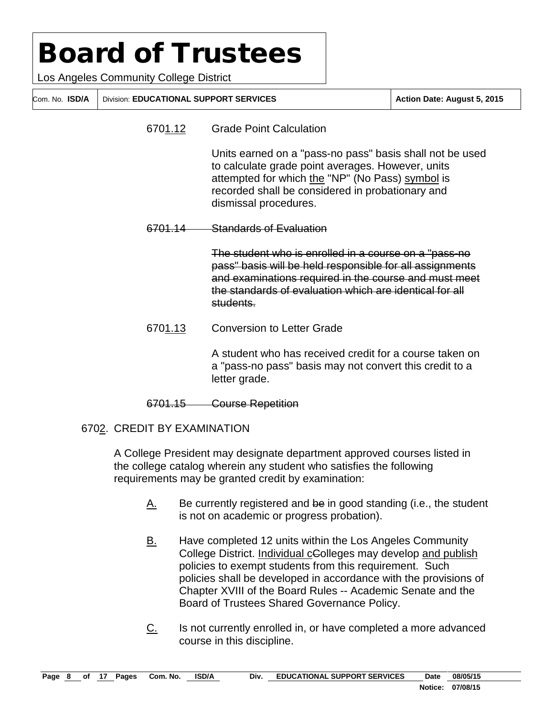Los Angeles Community College District

Com. No. **ISD/A** Division: **EDUCATIONAL SUPPORT SERVICES Action Date: August 5, 2015**

6701.12 Grade Point Calculation

Units earned on a "pass-no pass" basis shall not be used to calculate grade point averages. However, units attempted for which the "NP" (No Pass) symbol is recorded shall be considered in probationary and dismissal procedures.

6701.14 Standards of Evaluation

The student who is enrolled in a course on a "pass-no pass" basis will be held responsible for all assignments and examinations required in the course and must meet the standards of evaluation which are identical for all students.

6701.13 Conversion to Letter Grade

A student who has received credit for a course taken on a "pass-no pass" basis may not convert this credit to a letter grade.

#### 6701.15 Course Repetition

### 6702. CREDIT BY EXAMINATION

A College President may designate department approved courses listed in the college catalog wherein any student who satisfies the following requirements may be granted credit by examination:

- $A.$  Be currently registered and be in good standing (i.e., the student is not on academic or progress probation).
- B. Have completed 12 units within the Los Angeles Community College District. Individual cColleges may develop and publish policies to exempt students from this requirement. Such policies shall be developed in accordance with the provisions of Chapter XVIII of the Board Rules -- Academic Senate and the Board of Trustees Shared Governance Policy.
- C. Is not currently enrolled in, or have completed a more advanced course in this discipline.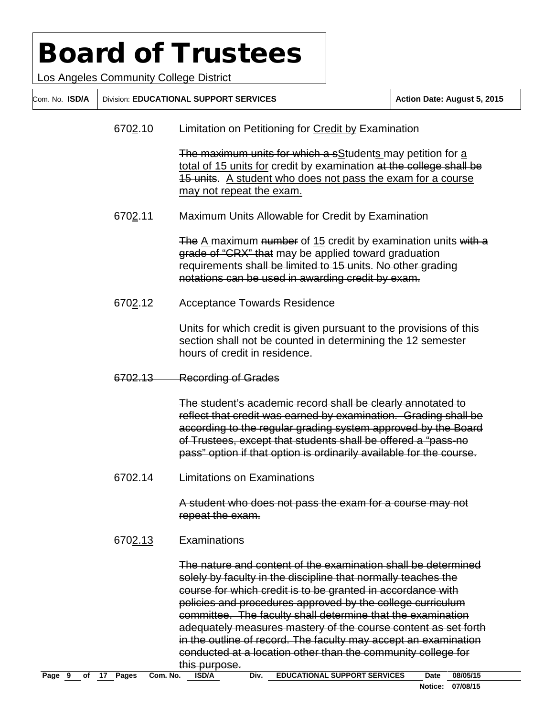Los Angeles Community College District

Com. No. **ISD/A** Division: **EDUCATIONAL SUPPORT SERVICES Action Date: August 5, 2015**

6702.10 Limitation on Petitioning for Credit by Examination

The maximum units for which a sStudents may petition for a total of 15 units for credit by examination at the college shall be 15 units. A student who does not pass the exam for a course may not repeat the exam.

6702.11 Maximum Units Allowable for Credit by Examination

The A maximum number of 15 credit by examination units with a grade of "CRX" that may be applied toward graduation requirements shall be limited to 15 units. No other grading notations can be used in awarding credit by exam.

6702.12 Acceptance Towards Residence

Units for which credit is given pursuant to the provisions of this section shall not be counted in determining the 12 semester hours of credit in residence.

6702.13 Recording of Grades

The student's academic record shall be clearly annotated to reflect that credit was earned by examination. Grading shall be according to the regular grading system approved by the Board of Trustees, except that students shall be offered a "pass-no pass" option if that option is ordinarily available for the course.

6702.14 Limitations on Examinations

A student who does not pass the exam for a course may not repeat the exam.

6702.13 Examinations

The nature and content of the examination shall be determined solely by faculty in the discipline that normally teaches the course for which credit is to be granted in accordance with policies and procedures approved by the college curriculum committee. The faculty shall determine that the examination adequately measures mastery of the course content as set forth in the outline of record. The faculty may accept an examination conducted at a location other than the community college for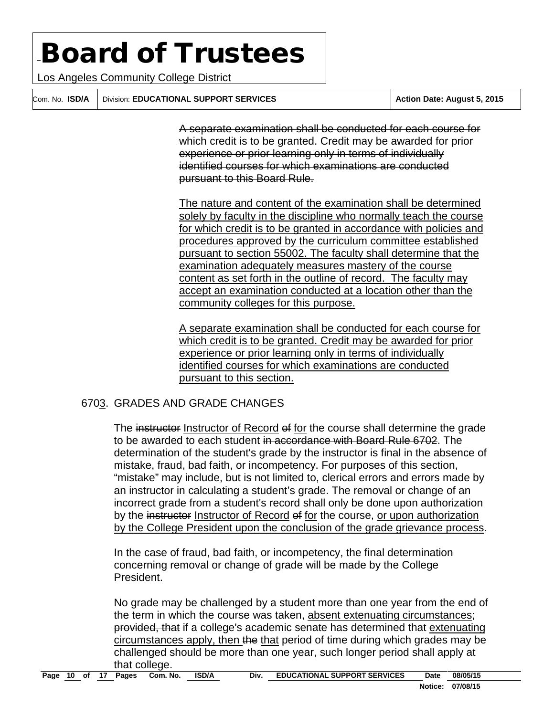Los Angeles Community College District

Com. No. **ISD/A** Division: **EDUCATIONAL SUPPORT SERVICES Action Date: August 5, 2015**

A separate examination shall be conducted for each course for which credit is to be granted. Credit may be awarded for prior experience or prior learning only in terms of individually identified courses for which examinations are conducted pursuant to this Board Rule.

The nature and content of the examination shall be determined solely by faculty in the discipline who normally teach the course for which credit is to be granted in accordance with policies and procedures approved by the curriculum committee established pursuant to section 55002. The faculty shall determine that the examination adequately measures mastery of the course content as set forth in the outline of record. The faculty may accept an examination conducted at a location other than the community colleges for this purpose.

A separate examination shall be conducted for each course for which credit is to be granted. Credit may be awarded for prior experience or prior learning only in terms of individually identified courses for which examinations are conducted pursuant to this section.

### 6703. GRADES AND GRADE CHANGES

The instructor Instructor of Record of for the course shall determine the grade to be awarded to each student in accordance with Board Rule 6702. The determination of the student's grade by the instructor is final in the absence of mistake, fraud, bad faith, or incompetency. For purposes of this section, "mistake" may include, but is not limited to, clerical errors and errors made by an instructor in calculating a student's grade. The removal or change of an incorrect grade from a student's record shall only be done upon authorization by the instructor Instructor of Record of for the course, or upon authorization by the College President upon the conclusion of the grade grievance process.

In the case of fraud, bad faith, or incompetency, the final determination concerning removal or change of grade will be made by the College President.

No grade may be challenged by a student more than one year from the end of the term in which the course was taken, absent extenuating circumstances; provided, that if a college's academic senate has determined that extenuating circumstances apply, then the that period of time during which grades may be challenged should be more than one year, such longer period shall apply at that college.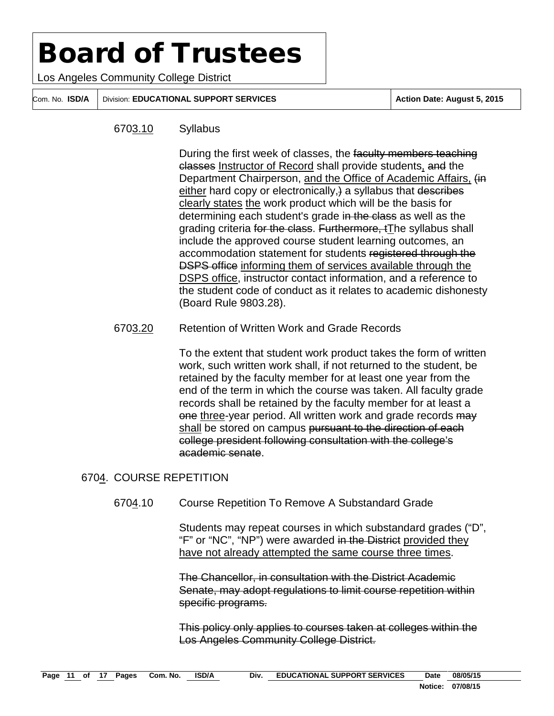Los Angeles Community College District

Com. No. **ISD/A** Division: **EDUCATIONAL SUPPORT SERVICES Action Date: August 5, 2015**

#### 6703.10 Syllabus

During the first week of classes, the faculty members teaching classes Instructor of Record shall provide students, and the Department Chairperson, and the Office of Academic Affairs, (in either hard copy or electronically, a syllabus that describes clearly states the work product which will be the basis for determining each student's grade in the class as well as the grading criteria for the class. Furthermore, tThe syllabus shall include the approved course student learning outcomes, an accommodation statement for students registered through the **DSPS office informing them of services available through the** DSPS office, instructor contact information, and a reference to the student code of conduct as it relates to academic dishonesty (Board Rule 9803.28).

#### 6703.20 Retention of Written Work and Grade Records

To the extent that student work product takes the form of written work, such written work shall, if not returned to the student, be retained by the faculty member for at least one year from the end of the term in which the course was taken. All faculty grade records shall be retained by the faculty member for at least a one three-year period. All written work and grade records may shall be stored on campus pursuant to the direction of each college president following consultation with the college's academic senate.

#### 6704. COURSE REPETITION

6704.10 Course Repetition To Remove A Substandard Grade

Students may repeat courses in which substandard grades ("D", "F" or "NC", "NP") were awarded in the District provided they have not already attempted the same course three times.

The Chancellor, in consultation with the District Academic Senate, may adopt regulations to limit course repetition within specific programs.

This policy only applies to courses taken at colleges within the Los Angeles Community College District.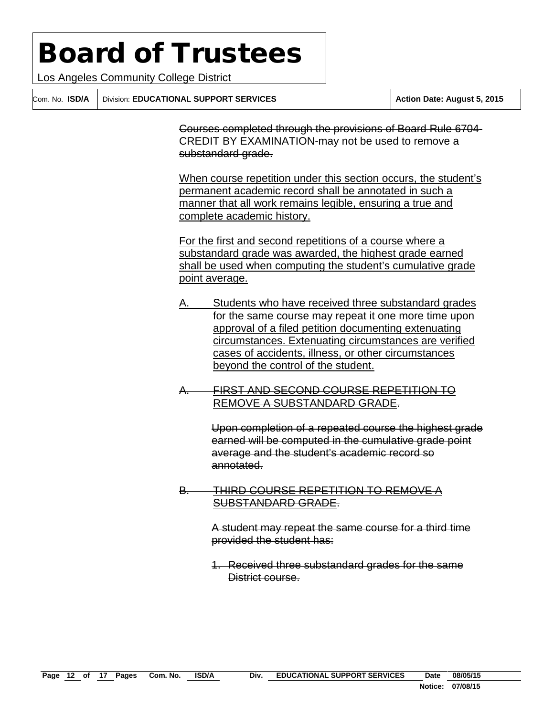Los Angeles Community College District

Com. No. **ISD/A** Division: **EDUCATIONAL SUPPORT SERVICES Action Date: August 5, 2015**

Courses completed through the provisions of Board Rule 6704- CREDIT BY EXAMINATION-may not be used to remove a substandard grade.

When course repetition under this section occurs, the student's permanent academic record shall be annotated in such a manner that all work remains legible, ensuring a true and complete academic history.

For the first and second repetitions of a course where a substandard grade was awarded, the highest grade earned shall be used when computing the student's cumulative grade point average.

- Students who have received three substandard grades for the same course may repeat it one more time upon approval of a filed petition documenting extenuating circumstances. Extenuating circumstances are verified cases of accidents, illness, or other circumstances beyond the control of the student.
- A. FIRST AND SECOND COURSE REPETITION TO REMOVE A SUBSTANDARD GRADE.

Upon completion of a repeated course the highest grade earned will be computed in the cumulative grade point average and the student's academic record so annotated.

B. THIRD COURSE REPETITION TO REMOVE A SUBSTANDARD GRADE.

> A student may repeat the same course for a third time provided the student has:

1. Received three substandard grades for the same District course.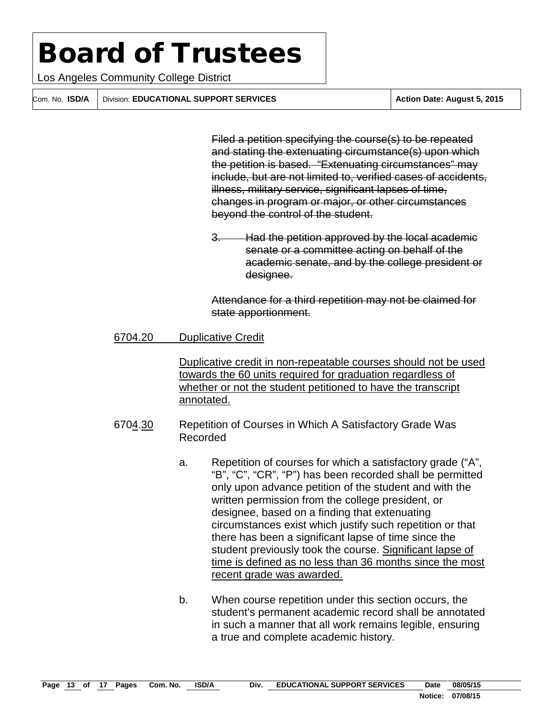Los Angeles Community College District

Com. No. **ISD/A** Division: **EDUCATIONAL SUPPORT SERVICES Action Date: August 5, 2015**

Filed a petition specifying the course(s) to be repeated and stating the extenuating circumstance(s) upon which the petition is based. "Extenuating circumstances" may include, but are not limited to, verified cases of accidents, illness, military service, significant lapses of time, changes in program or major, or other circumstances beyond the control of the student.

3. Had the petition approved by the local academic senate or a committee acting on behalf of the academic senate, and by the college president or designee.

Attendance for a third repetition may not be claimed for state apportionment.

#### 6704.20 Duplicative Credit

Duplicative credit in non-repeatable courses should not be used towards the 60 units required for graduation regardless of whether or not the student petitioned to have the transcript annotated.

- 6704.30 Repetition of Courses in Which A Satisfactory Grade Was Recorded
	- a. Repetition of courses for which a satisfactory grade ("A", "B", "C", "CR", "P") has been recorded shall be permitted only upon advance petition of the student and with the written permission from the college president, or designee, based on a finding that extenuating circumstances exist which justify such repetition or that there has been a significant lapse of time since the student previously took the course. Significant lapse of time is defined as no less than 36 months since the most recent grade was awarded.
	- b. When course repetition under this section occurs, the student's permanent academic record shall be annotated in such a manner that all work remains legible, ensuring a true and complete academic history.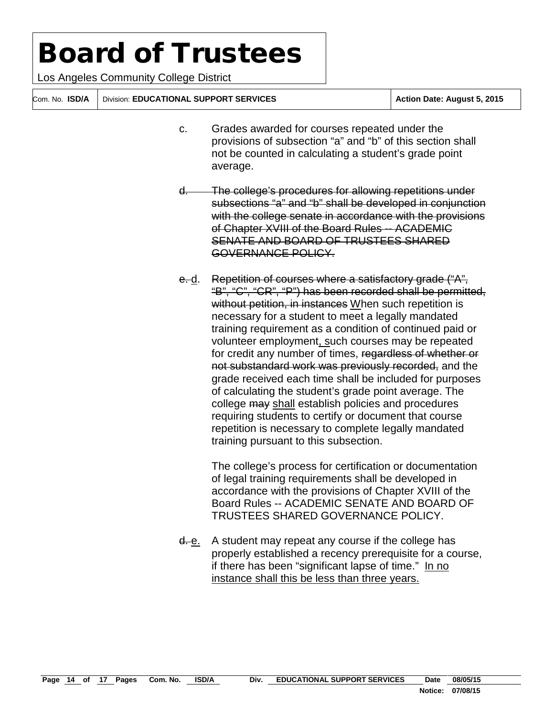Los Angeles Community College District

Com. No. **ISD/A** Division: **EDUCATIONAL SUPPORT SERVICES Action Date: August 5, 2015**

- c. Grades awarded for courses repeated under the provisions of subsection "a" and "b" of this section shall not be counted in calculating a student's grade point average.
- d. The college's procedures for allowing repetitions under subsections "a" and "b" shall be developed in conjunction with the college senate in accordance with the provisions of Chapter XVIII of the Board Rules -- ACADEMIC SENATE AND BOARD OF TRUSTEES SHARED GOVERNANCE POLICY.
- e. d. Repetition of courses where a satisfactory grade ("A", "B", "C", "CR", "P") has been recorded shall be permitted, without petition, in instances When such repetition is necessary for a student to meet a legally mandated training requirement as a condition of continued paid or volunteer employment, such courses may be repeated for credit any number of times, regardless of whether or not substandard work was previously recorded, and the grade received each time shall be included for purposes of calculating the student's grade point average. The college may shall establish policies and procedures requiring students to certify or document that course repetition is necessary to complete legally mandated training pursuant to this subsection.

The college's process for certification or documentation of legal training requirements shall be developed in accordance with the provisions of Chapter XVIII of the Board Rules -- ACADEMIC SENATE AND BOARD OF TRUSTEES SHARED GOVERNANCE POLICY.

d. e. A student may repeat any course if the college has properly established a recency prerequisite for a course, if there has been "significant lapse of time." In no instance shall this be less than three years.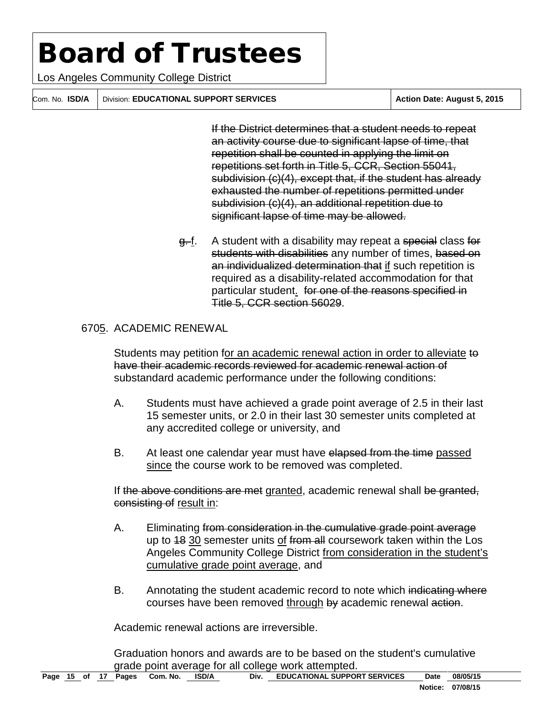Los Angeles Community College District

Com. No. **ISD/A** Division: **EDUCATIONAL SUPPORT SERVICES Action Date: August 5, 2015**

If the District determines that a student needs to repeat an activity course due to significant lapse of time, that repetition shall be counted in applying the limit on repetitions set forth in Title 5, CCR, Section 55041, subdivision (c)(4), except that, if the student has already exhausted the number of repetitions permitted under subdivision (c)(4), an additional repetition due to significant lapse of time may be allowed.

g.-f. A student with a disability may repeat a special class for students with disabilities any number of times, based on an individualized determination that if such repetition is required as a disability-related accommodation for that particular student. for one of the reasons specified in Title 5, CCR section 56029.

### 6705. ACADEMIC RENEWAL

Students may petition for an academic renewal action in order to alleviate to have their academic records reviewed for academic renewal action of substandard academic performance under the following conditions:

- A. Students must have achieved a grade point average of 2.5 in their last 15 semester units, or 2.0 in their last 30 semester units completed at any accredited college or university, and
- B. At least one calendar year must have elapsed from the time passed since the course work to be removed was completed.

If the above conditions are met granted, academic renewal shall be granted, consisting of result in:

- A. Eliminating from consideration in the cumulative grade point average up to 48 30 semester units of from all coursework taken within the Los Angeles Community College District from consideration in the student's cumulative grade point average, and
- B. Annotating the student academic record to note which indicating where courses have been removed through by academic renewal action.

Academic renewal actions are irreversible.

Graduation honors and awards are to be based on the student's cumulative grade point average for all college work attempted.<br>Pages Com. No. ISD/A Div. EDUCATIONAL SUPPORT SERVICES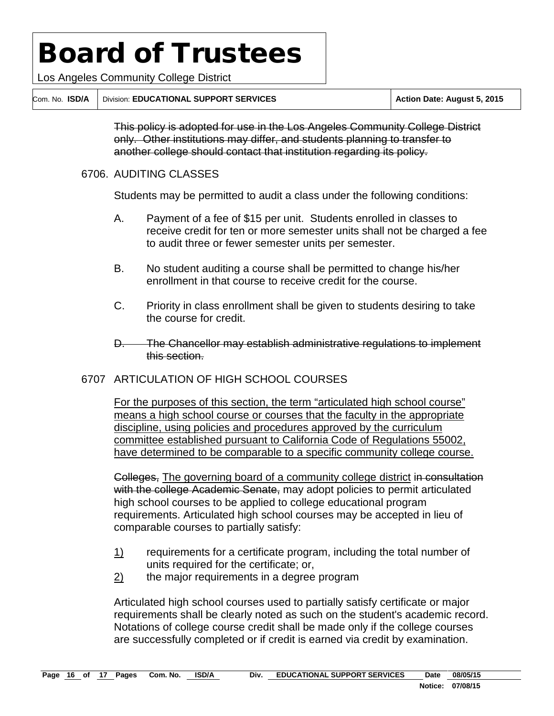Los Angeles Community College District

Com. No. **ISD/A** Division: **EDUCATIONAL SUPPORT SERVICES Action Date: August 5, 2015**

This policy is adopted for use in the Los Angeles Community College District only. Other institutions may differ, and students planning to transfer to another college should contact that institution regarding its policy.

#### 6706. AUDITING CLASSES

Students may be permitted to audit a class under the following conditions:

- A. Payment of a fee of \$15 per unit. Students enrolled in classes to receive credit for ten or more semester units shall not be charged a fee to audit three or fewer semester units per semester.
- B. No student auditing a course shall be permitted to change his/her enrollment in that course to receive credit for the course.
- C. Priority in class enrollment shall be given to students desiring to take the course for credit.
- D. The Chancellor may establish administrative regulations to implement this section.

### 6707 ARTICULATION OF HIGH SCHOOL COURSES

For the purposes of this section, the term "articulated high school course" means a high school course or courses that the faculty in the appropriate discipline, using policies and procedures approved by the curriculum committee established pursuant to California Code of Regulations 55002, have determined to be comparable to a specific community college course.

Colleges, The governing board of a community college district in consultation with the college Academic Senate, may adopt policies to permit articulated high school courses to be applied to college educational program requirements. Articulated high school courses may be accepted in lieu of comparable courses to partially satisfy:

- 1) requirements for a certificate program, including the total number of units required for the certificate; or,
- $2$  the major requirements in a degree program

Articulated high school courses used to partially satisfy certificate or major requirements shall be clearly noted as such on the student's academic record. Notations of college course credit shall be made only if the college courses are successfully completed or if credit is earned via credit by examination.